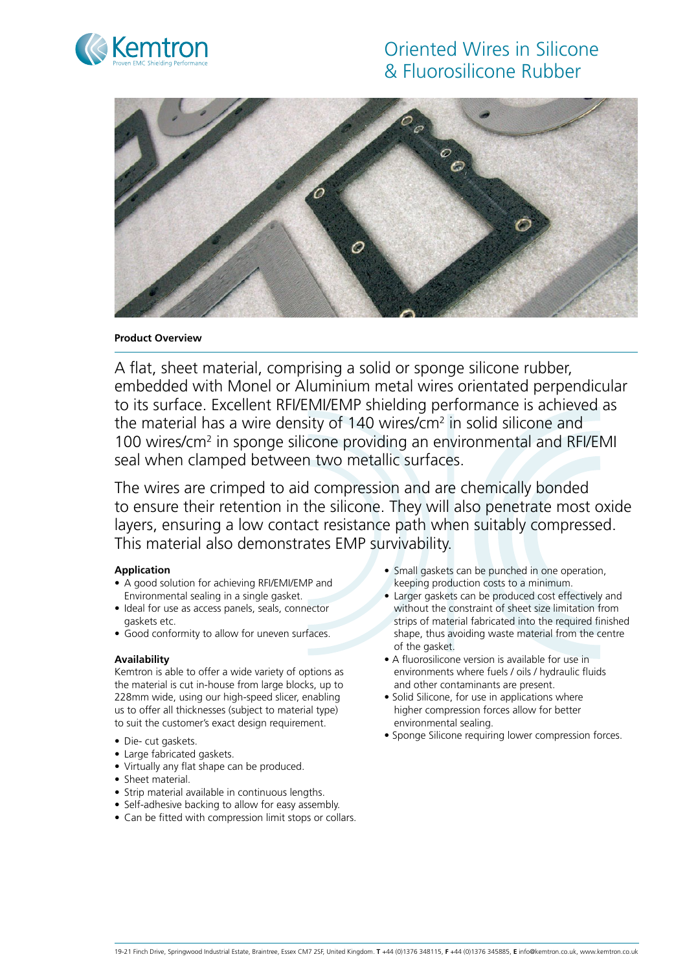

# Oriented Wires in Silicone & Fluorosilicone Rubber



## **Product Overview**

A flat, sheet material, comprising a solid or sponge silicone rubber, embedded with Monel or Aluminium metal wires orientated perpendicular to its surface. Excellent RFI/EMI/EMP shielding performance is achieved as the material has a wire density of 140 wires/ $cm<sup>2</sup>$  in solid silicone and 100 wires/cm<sup>2</sup> in sponge silicone providing an environmental and RFI/EMI seal when clamped between two metallic surfaces.

The wires are crimped to aid compression and are chemically bonded to ensure their retention in the silicone. They will also penetrate most oxide layers, ensuring a low contact resistance path when suitably compressed. This material also demonstrates EMP survivability.

## **Application**

- A good solution for achieving RFI/EMI/EMP and Environmental sealing in a single gasket.
- Ideal for use as access panels, seals, connector gaskets etc.
- Good conformity to allow for uneven surfaces.

## **Availability**

Kemtron is able to offer a wide variety of options as the material is cut in-house from large blocks, up to 228mm wide, using our high-speed slicer, enabling us to offer all thicknesses (subject to material type) to suit the customer's exact design requirement.

- Die- cut gaskets.
- Large fabricated gaskets.
- • Virtually any flat shape can be produced.
- Sheet material.
- Strip material available in continuous lengths.
- Self-adhesive backing to allow for easy assembly.
- Can be fitted with compression limit stops or collars.
- Small gaskets can be punched in one operation, keeping production costs to a minimum.
- Larger gaskets can be produced cost effectively and without the constraint of sheet size limitation from strips of material fabricated into the required finished shape, thus avoiding waste material from the centre of the gasket.
- A fluorosilicone version is available for use in environments where fuels / oils / hydraulic fluids and other contaminants are present.
- Solid Silicone, for use in applications where higher compression forces allow for better environmental sealing.
- Sponge Silicone requiring lower compression forces.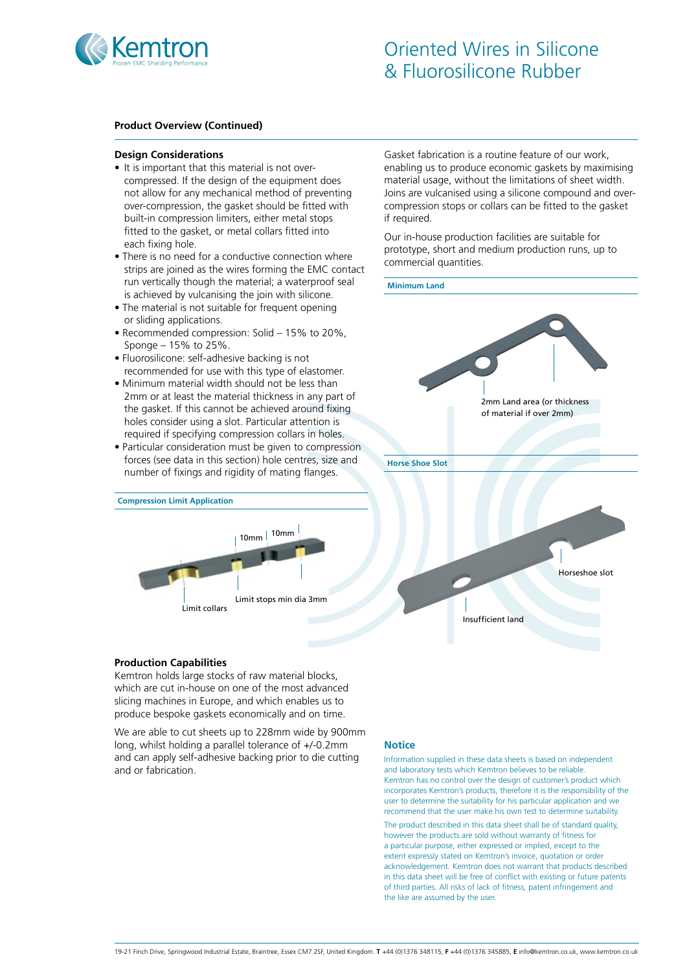

#### **Product Overview (Continued)**

#### **Design Considerations**

- It is important that this material is not overcompressed. If the design of the equipment does not allow for any mechanical method of preventing over-compression, the gasket should be fitted with built-in compression limiters, either metal stops fitted to the gasket, or metal collars fitted into each fixing hole.
- There is no need for a conductive connection where strips are joined as the wires forming the EMC contact run vertically though the material; a waterproof seal is achieved by vulcanising the join with silicone.
- The material is not suitable for frequent opening or sliding applications.
- Recommended compression: Solid 15% to 20%, Sponge – 15% to 25%.
- Fluorosilicone: self-adhesive backing is not recommended for use with this type of elastomer.
- Minimum material width should not be less than 2mm or at least the material thickness in any part of the gasket. If this cannot be achieved around fixing holes consider using a slot. Particular attention is required if specifying compression collars in holes.
- Particular consideration must be given to compression forces (see data in this section) hole centres, size and number of fixings and rigidity of mating flanges.



Gasket fabrication is a routine feature of our work, enabling us to produce economic gaskets by maximising material usage, without the limitations of sheet width. Joins are vulcanised using a silicone compound and overcompression stops or collars can be fitted to the gasket if required.

Our in-house production facilities are suitable for prototype, short and medium production runs, up to commercial quantities.



#### **Production Capabilities**

Kemtron holds large stocks of raw material blocks, which are cut in-house on one of the most advanced slicing machines in Europe, and which enables us to produce bespoke gaskets economically and on time.

We are able to cut sheets up to 228mm wide by 900mm long, whilst holding a parallel tolerance of +/-0.2mm and can apply self-adhesive backing prior to die cutting and or fabrication.

#### **Notice**

Information supplied in these data sheets is based on independent and laboratory tests which Kemtron believes to be reliable. Kemtron has no control over the design of customer's product which incorporates Kemtron's products, therefore it is the responsibility of the user to determine the suitability for his particular application and we recommend that the user make his own test to determine suitability.

The product described in this data sheet shall be of standard quality, however the products are sold without warranty of fitness for a particular purpose, either expressed or implied, except to the extent expressly stated on Kemtron's invoice, quotation or order acknowledgement. Kemtron does not warrant that products described in this data sheet will be free of conflict with existing or future patents of third parties. All risks of lack of fitness, patent infringement and the like are assumed by the user.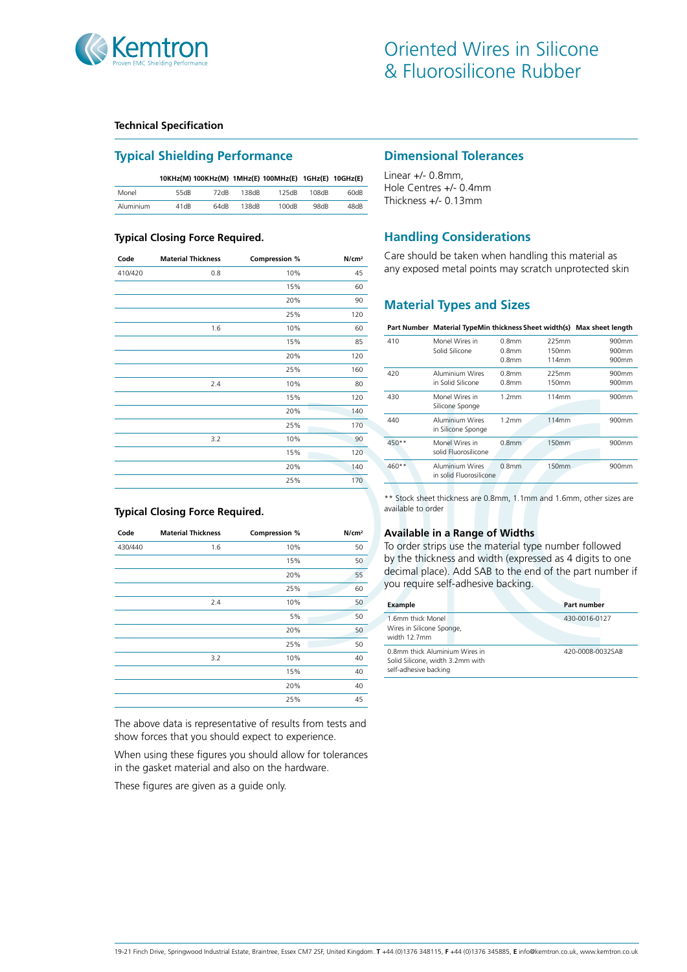

### **Technical Specification**

# **Typical Shielding Performance**

|           | 10KHz(M) 100KHz(M) 1MHz(E) 100MHz(E) 1GHz(E) 10GHz(E) |      |       |       |       |      |
|-----------|-------------------------------------------------------|------|-------|-------|-------|------|
| Monel     | 55dB                                                  | 72dB | 138dB | 125dB | 108dB | 60dB |
| Aluminium | 41dB                                                  | 64dB | 138dB | 100dB | 98dB  | 48dB |

#### **Typical Closing Force Required.**

| Code    | <b>Material Thickness</b> | Compression % | N/cm <sup>2</sup> |
|---------|---------------------------|---------------|-------------------|
| 410/420 | 0.8                       | 10%           | 45                |
|         |                           | 15%           | 60                |
|         |                           | 20%           | 90                |
|         |                           | 25%           | 120               |
|         | 1.6                       | 10%           | 60                |
|         |                           | 15%           | 85                |
|         |                           | 20%           | 120               |
|         |                           | 25%           | 160               |
|         | 2.4                       | 10%           | 80                |
|         |                           | 15%           | 120               |
|         |                           | 20%           | 140               |
|         |                           | 25%           | 170               |
|         | 3.2                       | 10%           | 90                |
|         |                           | 15%           | 120               |
|         |                           | 20%           | 140               |
|         |                           | 25%           | 170               |

#### **Typical Closing Force Required.**

| Code    | <b>Material Thickness</b> | <b>Compression %</b> | N/cm <sup>2</sup> |
|---------|---------------------------|----------------------|-------------------|
| 430/440 | 1.6                       | 10%                  | 50                |
|         |                           | 15%                  | 50                |
|         |                           | 20%                  | 55                |
|         |                           | 25%                  | 60                |
|         | 2.4                       | 10%                  | 50                |
|         |                           | 5%                   | 50                |
|         |                           | 20%                  | 50                |
|         |                           | 25%                  | 50                |
|         | 3.2                       | 10%                  | 40                |
|         |                           | 15%                  | 40                |
|         |                           | 20%                  | 40                |
|         |                           | 25%                  | 45                |

The above data is representative of results from tests and show forces that you should expect to experience.

When using these figures you should allow for tolerances in the gasket material and also on the hardware.

These figures are given as a guide only.

### **Dimensional Tolerances**

Linear +/- 0.8mm, Hole Centres +/- 0.4mm Thickness +/- 0.13mm

# **Handling Considerations**

Care should be taken when handling this material as any exposed metal points may scratch unprotected skin

# **Material Types and Sizes**

**Part Number Material TypeMin thickness Sheet width(s) Max sheet length**

| 410     | Monel Wires in<br>Solid Silicone                  | $0.8$ mm<br>0.8 <sub>mm</sub><br>0.8 <sub>mm</sub> | 225mm<br>150mm<br>114mm | 900mm<br>900mm<br>900mm |
|---------|---------------------------------------------------|----------------------------------------------------|-------------------------|-------------------------|
| 420     | Aluminium Wires<br>in Solid Silicone              | 0.8 <sub>mm</sub><br>0.8 <sub>mm</sub>             | 225mm<br>150mm          | 900mm<br>$900$ mm       |
| 430     | Monel Wires in<br>Silicone Sponge                 | 1.2mm                                              | 114mm                   | 900mm                   |
| 440     | <b>Aluminium Wires</b><br>in Silicone Sponge      | 1.2 <sub>mm</sub>                                  | 114mm                   | 900mm                   |
| $450**$ | Monel Wires in<br>solid Eluorosilicone            | 0.8 <sub>mm</sub>                                  | 150mm                   | 900mm                   |
| $460**$ | <b>Aluminium Wires</b><br>in solid Eluorosilicone | 0.8 <sub>mm</sub>                                  | <b>150mm</b>            | 900mm                   |

\*\* Stock sheet thickness are 0.8mm, 1.1mm and 1.6mm, other sizes are available to order

#### **Available in a Range of Widths**

To order strips use the material type number followed by the thickness and width (expressed as 4 digits to one decimal place). Add SAB to the end of the part number if you require self-adhesive backing.

| Example                                                                                     | Part number      |
|---------------------------------------------------------------------------------------------|------------------|
| 1.6mm thick Monel<br>Wires in Silicone Sponge,<br>width 12.7mm                              | 430-0016-0127    |
| 0.8mm thick Aluminium Wires in<br>Solid Silicone, width 3.2mm with<br>self-adhesive backing | 420-0008-0032SAB |